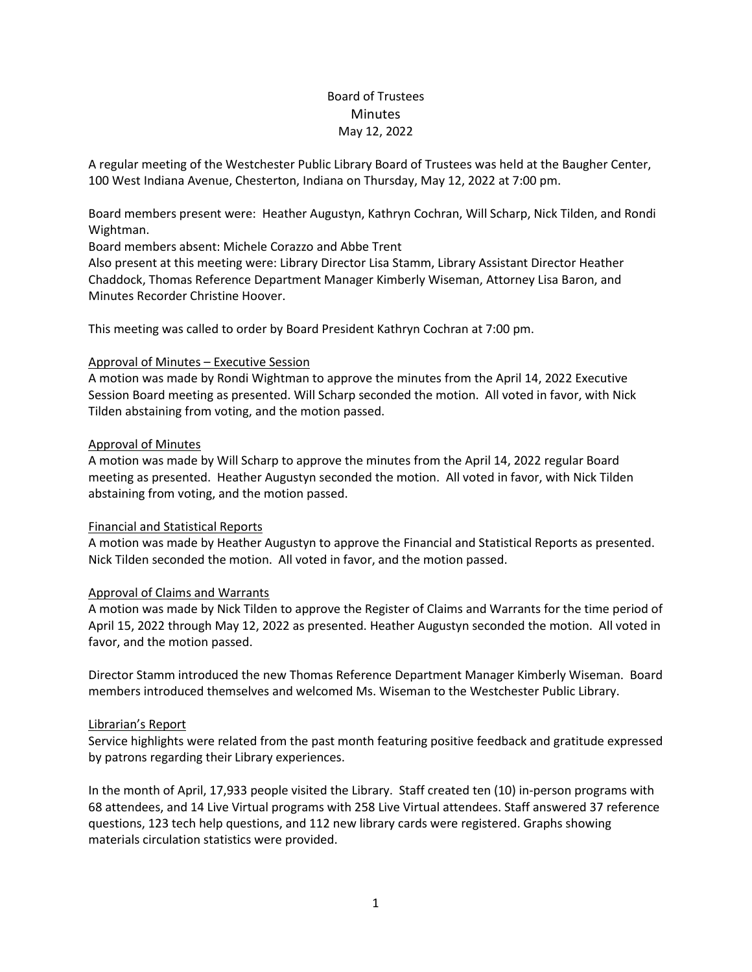# Board of Trustees **Minutes** May 12, 2022

A regular meeting of the Westchester Public Library Board of Trustees was held at the Baugher Center, 100 West Indiana Avenue, Chesterton, Indiana on Thursday, May 12, 2022 at 7:00 pm.

Board members present were: Heather Augustyn, Kathryn Cochran, Will Scharp, Nick Tilden, and Rondi Wightman.

Board members absent: Michele Corazzo and Abbe Trent

Also present at this meeting were: Library Director Lisa Stamm, Library Assistant Director Heather Chaddock, Thomas Reference Department Manager Kimberly Wiseman, Attorney Lisa Baron, and Minutes Recorder Christine Hoover.

This meeting was called to order by Board President Kathryn Cochran at 7:00 pm.

## Approval of Minutes – Executive Session

A motion was made by Rondi Wightman to approve the minutes from the April 14, 2022 Executive Session Board meeting as presented. Will Scharp seconded the motion. All voted in favor, with Nick Tilden abstaining from voting, and the motion passed.

## Approval of Minutes

A motion was made by Will Scharp to approve the minutes from the April 14, 2022 regular Board meeting as presented. Heather Augustyn seconded the motion. All voted in favor, with Nick Tilden abstaining from voting, and the motion passed.

#### Financial and Statistical Reports

A motion was made by Heather Augustyn to approve the Financial and Statistical Reports as presented. Nick Tilden seconded the motion. All voted in favor, and the motion passed.

#### Approval of Claims and Warrants

A motion was made by Nick Tilden to approve the Register of Claims and Warrants for the time period of April 15, 2022 through May 12, 2022 as presented. Heather Augustyn seconded the motion. All voted in favor, and the motion passed.

Director Stamm introduced the new Thomas Reference Department Manager Kimberly Wiseman. Board members introduced themselves and welcomed Ms. Wiseman to the Westchester Public Library.

## Librarian's Report

Service highlights were related from the past month featuring positive feedback and gratitude expressed by patrons regarding their Library experiences.

In the month of April, 17,933 people visited the Library. Staff created ten (10) in-person programs with 68 attendees, and 14 Live Virtual programs with 258 Live Virtual attendees. Staff answered 37 reference questions, 123 tech help questions, and 112 new library cards were registered. Graphs showing materials circulation statistics were provided.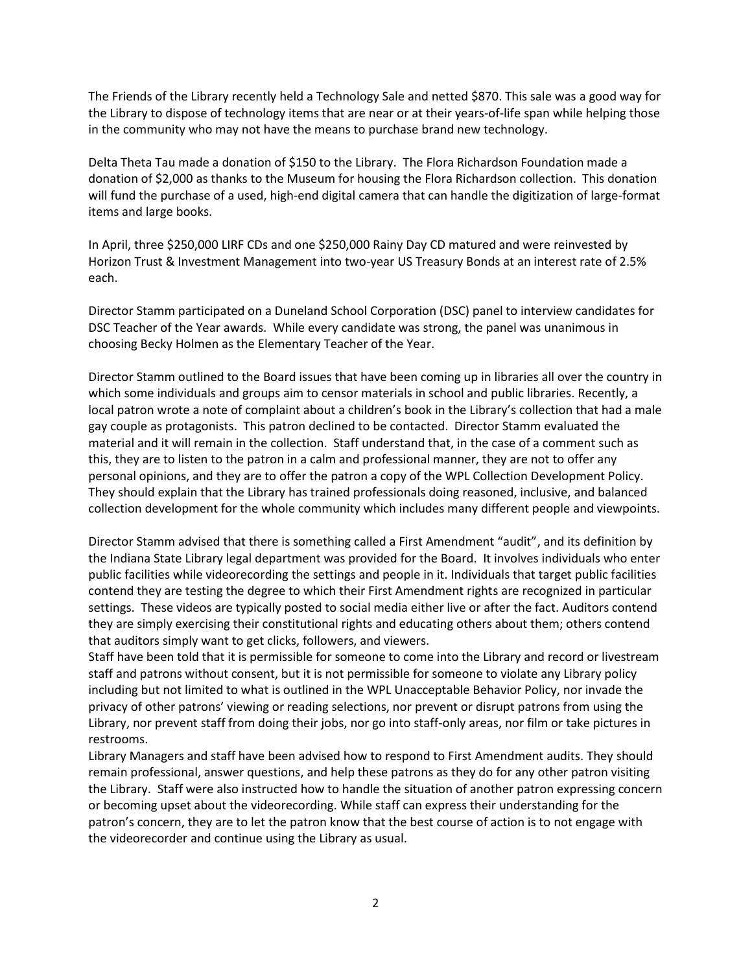The Friends of the Library recently held a Technology Sale and netted \$870. This sale was a good way for the Library to dispose of technology items that are near or at their years-of-life span while helping those in the community who may not have the means to purchase brand new technology.

Delta Theta Tau made a donation of \$150 to the Library. The Flora Richardson Foundation made a donation of \$2,000 as thanks to the Museum for housing the Flora Richardson collection. This donation will fund the purchase of a used, high-end digital camera that can handle the digitization of large-format items and large books.

In April, three \$250,000 LIRF CDs and one \$250,000 Rainy Day CD matured and were reinvested by Horizon Trust & Investment Management into two-year US Treasury Bonds at an interest rate of 2.5% each.

Director Stamm participated on a Duneland School Corporation (DSC) panel to interview candidates for DSC Teacher of the Year awards. While every candidate was strong, the panel was unanimous in choosing Becky Holmen as the Elementary Teacher of the Year.

Director Stamm outlined to the Board issues that have been coming up in libraries all over the country in which some individuals and groups aim to censor materials in school and public libraries. Recently, a local patron wrote a note of complaint about a children's book in the Library's collection that had a male gay couple as protagonists. This patron declined to be contacted. Director Stamm evaluated the material and it will remain in the collection. Staff understand that, in the case of a comment such as this, they are to listen to the patron in a calm and professional manner, they are not to offer any personal opinions, and they are to offer the patron a copy of the WPL Collection Development Policy. They should explain that the Library has trained professionals doing reasoned, inclusive, and balanced collection development for the whole community which includes many different people and viewpoints.

Director Stamm advised that there is something called a First Amendment "audit", and its definition by the Indiana State Library legal department was provided for the Board. It involves individuals who enter public facilities while videorecording the settings and people in it. Individuals that target public facilities contend they are testing the degree to which their First Amendment rights are recognized in particular settings. These videos are typically posted to social media either live or after the fact. Auditors contend they are simply exercising their constitutional rights and educating others about them; others contend that auditors simply want to get clicks, followers, and viewers.

Staff have been told that it is permissible for someone to come into the Library and record or livestream staff and patrons without consent, but it is not permissible for someone to violate any Library policy including but not limited to what is outlined in the WPL Unacceptable Behavior Policy, nor invade the privacy of other patrons' viewing or reading selections, nor prevent or disrupt patrons from using the Library, nor prevent staff from doing their jobs, nor go into staff-only areas, nor film or take pictures in restrooms.

Library Managers and staff have been advised how to respond to First Amendment audits. They should remain professional, answer questions, and help these patrons as they do for any other patron visiting the Library. Staff were also instructed how to handle the situation of another patron expressing concern or becoming upset about the videorecording. While staff can express their understanding for the patron's concern, they are to let the patron know that the best course of action is to not engage with the videorecorder and continue using the Library as usual.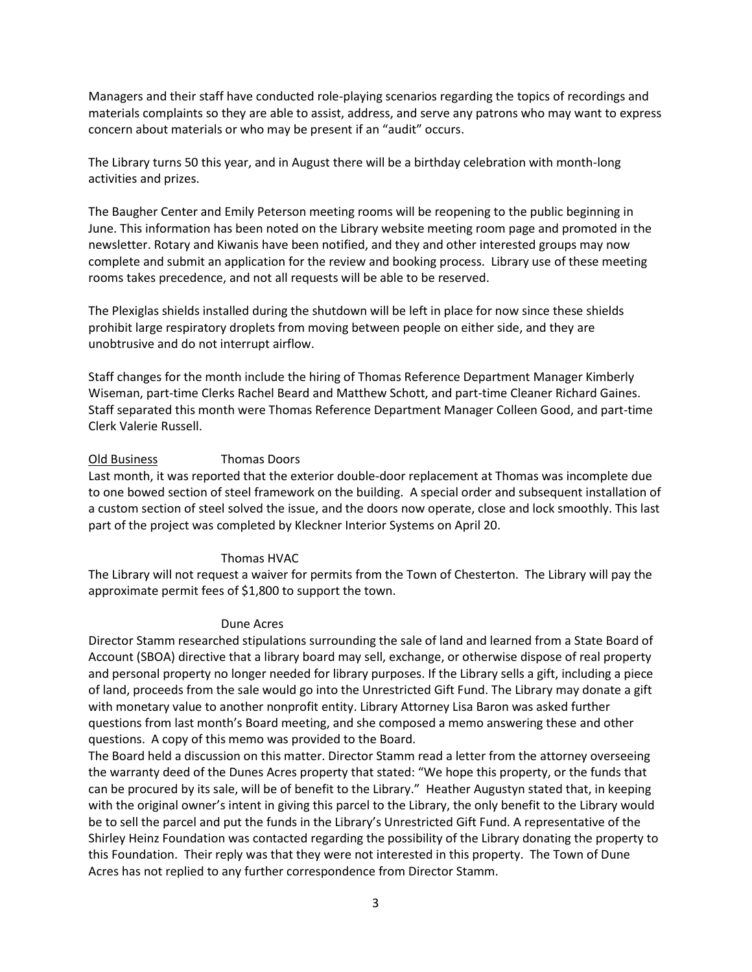Managers and their staff have conducted role-playing scenarios regarding the topics of recordings and materials complaints so they are able to assist, address, and serve any patrons who may want to express concern about materials or who may be present if an "audit" occurs.

The Library turns 50 this year, and in August there will be a birthday celebration with month-long activities and prizes.

The Baugher Center and Emily Peterson meeting rooms will be reopening to the public beginning in June. This information has been noted on the Library website meeting room page and promoted in the newsletter. Rotary and Kiwanis have been notified, and they and other interested groups may now complete and submit an application for the review and booking process. Library use of these meeting rooms takes precedence, and not all requests will be able to be reserved.

The Plexiglas shields installed during the shutdown will be left in place for now since these shields prohibit large respiratory droplets from moving between people on either side, and they are unobtrusive and do not interrupt airflow.

Staff changes for the month include the hiring of Thomas Reference Department Manager Kimberly Wiseman, part-time Clerks Rachel Beard and Matthew Schott, and part-time Cleaner Richard Gaines. Staff separated this month were Thomas Reference Department Manager Colleen Good, and part-time Clerk Valerie Russell.

## Old Business Thomas Doors

Last month, it was reported that the exterior double-door replacement at Thomas was incomplete due to one bowed section of steel framework on the building. A special order and subsequent installation of a custom section of steel solved the issue, and the doors now operate, close and lock smoothly. This last part of the project was completed by Kleckner Interior Systems on April 20.

#### Thomas HVAC

The Library will not request a waiver for permits from the Town of Chesterton. The Library will pay the approximate permit fees of \$1,800 to support the town.

#### Dune Acres

Director Stamm researched stipulations surrounding the sale of land and learned from a State Board of Account (SBOA) directive that a library board may sell, exchange, or otherwise dispose of real property and personal property no longer needed for library purposes. If the Library sells a gift, including a piece of land, proceeds from the sale would go into the Unrestricted Gift Fund. The Library may donate a gift with monetary value to another nonprofit entity. Library Attorney Lisa Baron was asked further questions from last month's Board meeting, and she composed a memo answering these and other questions. A copy of this memo was provided to the Board.

The Board held a discussion on this matter. Director Stamm read a letter from the attorney overseeing the warranty deed of the Dunes Acres property that stated: "We hope this property, or the funds that can be procured by its sale, will be of benefit to the Library." Heather Augustyn stated that, in keeping with the original owner's intent in giving this parcel to the Library, the only benefit to the Library would be to sell the parcel and put the funds in the Library's Unrestricted Gift Fund. A representative of the Shirley Heinz Foundation was contacted regarding the possibility of the Library donating the property to this Foundation. Their reply was that they were not interested in this property. The Town of Dune Acres has not replied to any further correspondence from Director Stamm.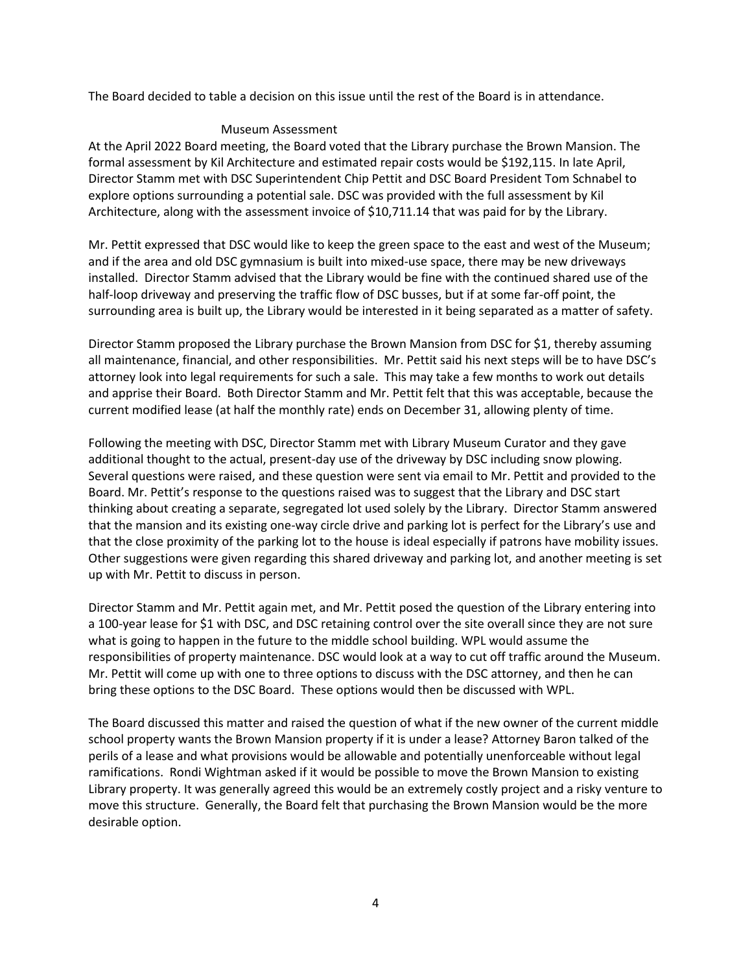The Board decided to table a decision on this issue until the rest of the Board is in attendance.

## Museum Assessment

At the April 2022 Board meeting, the Board voted that the Library purchase the Brown Mansion. The formal assessment by Kil Architecture and estimated repair costs would be \$192,115. In late April, Director Stamm met with DSC Superintendent Chip Pettit and DSC Board President Tom Schnabel to explore options surrounding a potential sale. DSC was provided with the full assessment by Kil Architecture, along with the assessment invoice of \$10,711.14 that was paid for by the Library.

Mr. Pettit expressed that DSC would like to keep the green space to the east and west of the Museum; and if the area and old DSC gymnasium is built into mixed-use space, there may be new driveways installed. Director Stamm advised that the Library would be fine with the continued shared use of the half-loop driveway and preserving the traffic flow of DSC busses, but if at some far-off point, the surrounding area is built up, the Library would be interested in it being separated as a matter of safety.

Director Stamm proposed the Library purchase the Brown Mansion from DSC for \$1, thereby assuming all maintenance, financial, and other responsibilities. Mr. Pettit said his next steps will be to have DSC's attorney look into legal requirements for such a sale. This may take a few months to work out details and apprise their Board. Both Director Stamm and Mr. Pettit felt that this was acceptable, because the current modified lease (at half the monthly rate) ends on December 31, allowing plenty of time.

Following the meeting with DSC, Director Stamm met with Library Museum Curator and they gave additional thought to the actual, present-day use of the driveway by DSC including snow plowing. Several questions were raised, and these question were sent via email to Mr. Pettit and provided to the Board. Mr. Pettit's response to the questions raised was to suggest that the Library and DSC start thinking about creating a separate, segregated lot used solely by the Library. Director Stamm answered that the mansion and its existing one-way circle drive and parking lot is perfect for the Library's use and that the close proximity of the parking lot to the house is ideal especially if patrons have mobility issues. Other suggestions were given regarding this shared driveway and parking lot, and another meeting is set up with Mr. Pettit to discuss in person.

Director Stamm and Mr. Pettit again met, and Mr. Pettit posed the question of the Library entering into a 100-year lease for \$1 with DSC, and DSC retaining control over the site overall since they are not sure what is going to happen in the future to the middle school building. WPL would assume the responsibilities of property maintenance. DSC would look at a way to cut off traffic around the Museum. Mr. Pettit will come up with one to three options to discuss with the DSC attorney, and then he can bring these options to the DSC Board. These options would then be discussed with WPL.

The Board discussed this matter and raised the question of what if the new owner of the current middle school property wants the Brown Mansion property if it is under a lease? Attorney Baron talked of the perils of a lease and what provisions would be allowable and potentially unenforceable without legal ramifications. Rondi Wightman asked if it would be possible to move the Brown Mansion to existing Library property. It was generally agreed this would be an extremely costly project and a risky venture to move this structure. Generally, the Board felt that purchasing the Brown Mansion would be the more desirable option.